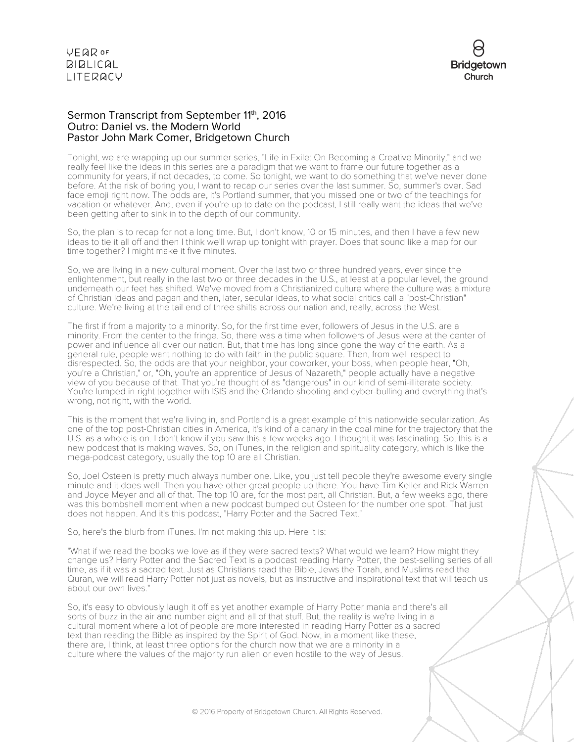

#### Sermon Transcript from September 11th, 2016 Outro: Daniel vs. the Modern World Pastor John Mark Comer, Bridgetown Church

Tonight, we are wrapping up our summer series, "Life in Exile: On Becoming a Creative Minority," and we really feel like the ideas in this series are a paradigm that we want to frame our future together as a community for years, if not decades, to come. So tonight, we want to do something that we've never done before. At the risk of boring you, I want to recap our series over the last summer. So, summer's over. Sad face emoji right now. The odds are, it's Portland summer, that you missed one or two of the teachings for vacation or whatever. And, even if you're up to date on the podcast, I still really want the ideas that we've been getting after to sink in to the depth of our community.

So, the plan is to recap for not a long time. But, I don't know, 10 or 15 minutes, and then I have a few new ideas to tie it all off and then I think we'll wrap up tonight with prayer. Does that sound like a map for our time together? I might make it five minutes.

So, we are living in a new cultural moment. Over the last two or three hundred years, ever since the enlightenment, but really in the last two or three decades in the U.S., at least at a popular level, the ground underneath our feet has shifted. We've moved from a Christianized culture where the culture was a mixture of Christian ideas and pagan and then, later, secular ideas, to what social critics call a "post-Christian" culture. We're living at the tail end of three shifts across our nation and, really, across the West.

The first if from a majority to a minority. So, for the first time ever, followers of Jesus in the U.S. are a minority. From the center to the fringe. So, there was a time when followers of Jesus were at the center of power and influence all over our nation. But, that time has long since gone the way of the earth. As a general rule, people want nothing to do with faith in the public square. Then, from well respect to disrespected. So, the odds are that your neighbor, your coworker, your boss, when people hear, "Oh, you're a Christian," or, "Oh, you're an apprentice of Jesus of Nazareth," people actually have a negative view of you because of that. That you're thought of as "dangerous" in our kind of semi-illiterate society. You're lumped in right together with ISIS and the Orlando shooting and cyber-bulling and everything that's wrong, not right, with the world.

This is the moment that we're living in, and Portland is a great example of this nationwide secularization. As one of the top post-Christian cities in America, it's kind of a canary in the coal mine for the trajectory that the U.S. as a whole is on. I don't know if you saw this a few weeks ago. I thought it was fascinating. So, this is a new podcast that is making waves. So, on iTunes, in the religion and spirituality category, which is like the mega-podcast category, usually the top 10 are all Christian.

So, Joel Osteen is pretty much always number one. Like, you just tell people they're awesome every single minute and it does well. Then you have other great people up there. You have Tim Keller and Rick Warren and Joyce Meyer and all of that. The top 10 are, for the most part, all Christian. But, a few weeks ago, there was this bombshell moment when a new podcast bumped out Osteen for the number one spot. That just does not happen. And it's this podcast, "Harry Potter and the Sacred Text."

So, here's the blurb from iTunes. I'm not making this up. Here it is:

"What if we read the books we love as if they were sacred texts? What would we learn? How might they change us? Harry Potter and the Sacred Text is a podcast reading Harry Potter, the best-selling series of all time, as if it was a sacred text. Just as Christians read the Bible, Jews the Torah, and Muslims read the Quran, we will read Harry Potter not just as novels, but as instructive and inspirational text that will teach us about our own lives."

So, it's easy to obviously laugh it off as yet another example of Harry Potter mania and there's all sorts of buzz in the air and number eight and all of that stuff. But, the reality is we're living in a cultural moment where a lot of people are more interested in reading Harry Potter as a sacred text than reading the Bible as inspired by the Spirit of God. Now, in a moment like these, there are, I think, at least three options for the church now that we are a minority in a culture where the values of the majority run alien or even hostile to the way of Jesus.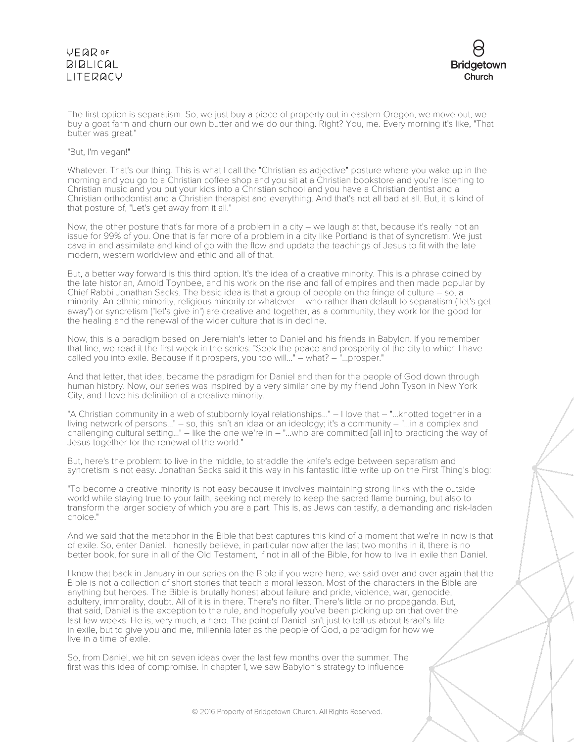#### **VFQR OF BIBLICAL I ITFRACY**



The first option is separatism. So, we just buy a piece of property out in eastern Oregon, we move out, we buy a goat farm and churn our own butter and we do our thing. Right? You, me. Every morning it's like, "That butter was great."

#### "But, I'm vegan!"

Whatever. That's our thing. This is what I call the "Christian as adjective" posture where you wake up in the morning and you go to a Christian coffee shop and you sit at a Christian bookstore and you're listening to Christian music and you put your kids into a Christian school and you have a Christian dentist and a Christian orthodontist and a Christian therapist and everything. And that's not all bad at all. But, it is kind of that posture of, "Let's get away from it all."

Now, the other posture that's far more of a problem in a city – we laugh at that, because it's really not an issue for 99% of you. One that is far more of a problem in a city like Portland is that of syncretism. We just cave in and assimilate and kind of go with the flow and update the teachings of Jesus to fit with the late modern, western worldview and ethic and all of that.

But, a better way forward is this third option. It's the idea of a creative minority. This is a phrase coined by the late historian, Arnold Toynbee, and his work on the rise and fall of empires and then made popular by Chief Rabbi Jonathan Sacks. The basic idea is that a group of people on the fringe of culture – so, a minority. An ethnic minority, religious minority or whatever – who rather than default to separatism ("let's get away") or syncretism ("let's give in") are creative and together, as a community, they work for the good for the healing and the renewal of the wider culture that is in decline.

Now, this is a paradigm based on Jeremiah's letter to Daniel and his friends in Babylon. If you remember that line, we read it the first week in the series: "Seek the peace and prosperity of the city to which I have called you into exile. Because if it prospers, you too will..." – what? – "...prosper."

And that letter, that idea, became the paradigm for Daniel and then for the people of God down through human history. Now, our series was inspired by a very similar one by my friend John Tyson in New York City, and I love his definition of a creative minority.

"A Christian community in a web of stubbornly loyal relationships..." – I love that – "...knotted together in a living network of persons..." – so, this isn't an idea or an ideology; it's a community – "...in a complex and challenging cultural setting..." – like the one we're in – "...who are committed [all in] to practicing the way of Jesus together for the renewal of the world."

But, here's the problem: to live in the middle, to straddle the knife's edge between separatism and syncretism is not easy. Jonathan Sacks said it this way in his fantastic little write up on the First Thing's blog:

"To become a creative minority is not easy because it involves maintaining strong links with the outside world while staying true to your faith, seeking not merely to keep the sacred flame burning, but also to transform the larger society of which you are a part. This is, as Jews can testify, a demanding and risk-laden choice."

And we said that the metaphor in the Bible that best captures this kind of a moment that we're in now is that of exile. So, enter Daniel. I honestly believe, in particular now after the last two months in it, there is no better book, for sure in all of the Old Testament, if not in all of the Bible, for how to live in exile than Daniel.

I know that back in January in our series on the Bible if you were here, we said over and over again that the Bible is not a collection of short stories that teach a moral lesson. Most of the characters in the Bible are anything but heroes. The Bible is brutally honest about failure and pride, violence, war, genocide, adultery, immorality, doubt. All of it is in there. There's no filter. There's little or no propaganda. But, that said, Daniel is the exception to the rule, and hopefully you've been picking up on that over the last few weeks. He is, very much, a hero. The point of Daniel isn't just to tell us about Israel's life in exile, but to give you and me, millennia later as the people of God, a paradigm for how we live in a time of exile.

So, from Daniel, we hit on seven ideas over the last few months over the summer. The first was this idea of compromise. In chapter 1, we saw Babylon's strategy to influence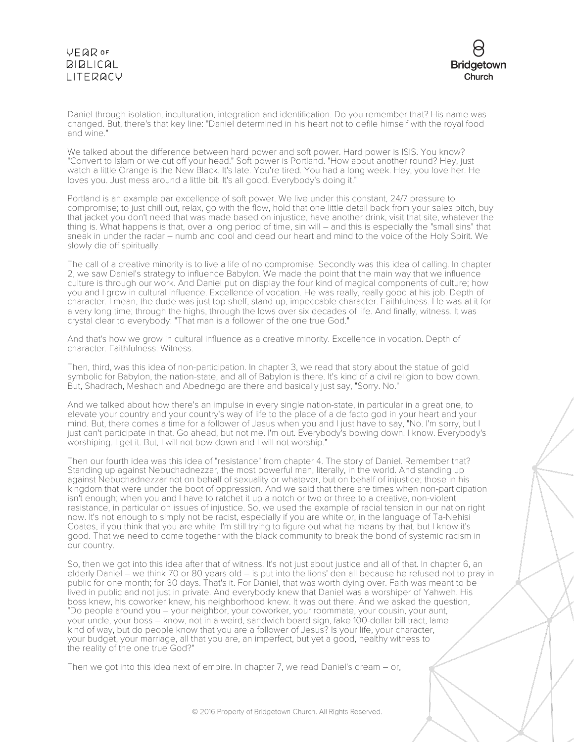

Daniel through isolation, inculturation, integration and identification. Do you remember that? His name was changed. But, there's that key line: "Daniel determined in his heart not to defile himself with the royal food and wine."

We talked about the difference between hard power and soft power. Hard power is ISIS. You know? "Convert to Islam or we cut off your head." Soft power is Portland. "How about another round? Hey, just watch a little Orange is the New Black. It's late. You're tired. You had a long week. Hey, you love her. He loves you. Just mess around a little bit. It's all good. Everybody's doing it."

Portland is an example par excellence of soft power. We live under this constant, 24/7 pressure to compromise; to just chill out, relax, go with the flow, hold that one little detail back from your sales pitch, buy that jacket you don't need that was made based on injustice, have another drink, visit that site, whatever the thing is. What happens is that, over a long period of time, sin will – and this is especially the "small sins" that sneak in under the radar – numb and cool and dead our heart and mind to the voice of the Holy Spirit. We slowly die off spiritually.

The call of a creative minority is to live a life of no compromise. Secondly was this idea of calling. In chapter 2, we saw Daniel's strategy to influence Babylon. We made the point that the main way that we influence culture is through our work. And Daniel put on display the four kind of magical components of culture; how you and I grow in cultural influence. Excellence of vocation. He was really, really good at his job. Depth of character. I mean, the dude was just top shelf, stand up, impeccable character. Faithfulness. He was at it for a very long time; through the highs, through the lows over six decades of life. And finally, witness. It was crystal clear to everybody: "That man is a follower of the one true God."

And that's how we grow in cultural influence as a creative minority. Excellence in vocation. Depth of character. Faithfulness. Witness.

Then, third, was this idea of non-participation. In chapter 3, we read that story about the statue of gold symbolic for Babylon, the nation-state, and all of Babylon is there. It's kind of a civil religion to bow down. But, Shadrach, Meshach and Abednego are there and basically just say, "Sorry. No."

And we talked about how there's an impulse in every single nation-state, in particular in a great one, to elevate your country and your country's way of life to the place of a de facto god in your heart and your mind. But, there comes a time for a follower of Jesus when you and I just have to say, "No. I'm sorry, but I just can't participate in that. Go ahead, but not me. I'm out. Everybody's bowing down. I know. Everybody's worshiping. I get it. But, I will not bow down and I will not worship."

Then our fourth idea was this idea of "resistance" from chapter 4. The story of Daniel. Remember that? Standing up against Nebuchadnezzar, the most powerful man, literally, in the world. And standing up against Nebuchadnezzar not on behalf of sexuality or whatever, but on behalf of injustice; those in his kingdom that were under the boot of oppression. And we said that there are times when non-participation isn't enough; when you and I have to ratchet it up a notch or two or three to a creative, non-violent resistance, in particular on issues of injustice. So, we used the example of racial tension in our nation right now. It's not enough to simply not be racist, especially if you are white or, in the language of Ta-Nehisi Coates, if you think that you are white. I'm still trying to figure out what he means by that, but I know it's good. That we need to come together with the black community to break the bond of systemic racism in our country.

So, then we got into this idea after that of witness. It's not just about justice and all of that. In chapter 6, an elderly Daniel – we think 70 or 80 years old – is put into the lions' den all because he refused not to pray in public for one month; for 30 days. That's it. For Daniel, that was worth dying over. Faith was meant to be lived in public and not just in private. And everybody knew that Daniel was a worshiper of Yahweh. His boss knew, his coworker knew, his neighborhood knew. It was out there. And we asked the question, "Do people around you – your neighbor, your coworker, your roommate, your cousin, your aunt, your uncle, your boss – know, not in a weird, sandwich board sign, fake 100-dollar bill tract, lame kind of way, but do people know that you are a follower of Jesus? Is your life, your character, your budget, your marriage, all that you are, an imperfect, but yet a good, healthy witness to the reality of the one true God?"

Then we got into this idea next of empire. In chapter 7, we read Daniel's dream – or,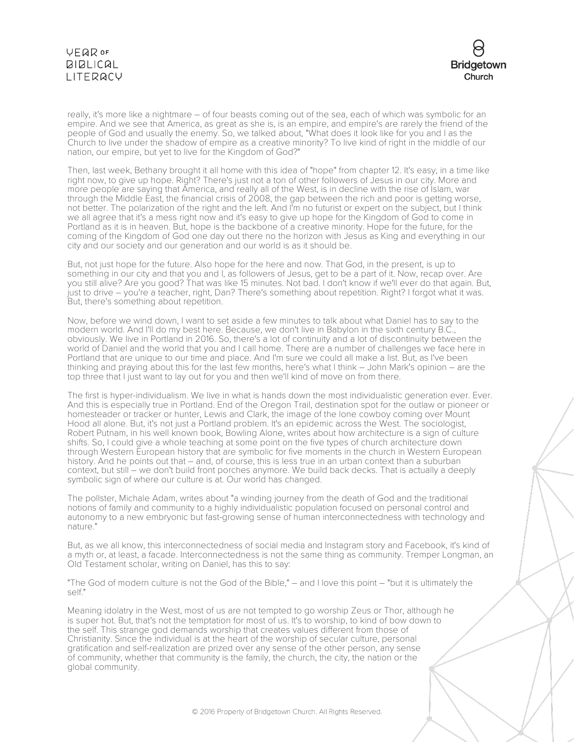

really, it's more like a nightmare – of four beasts coming out of the sea, each of which was symbolic for an empire. And we see that America, as great as she is, is an empire, and empire's are rarely the friend of the people of God and usually the enemy. So, we talked about, "What does it look like for you and I as the Church to live under the shadow of empire as a creative minority? To live kind of right in the middle of our nation, our empire, but yet to live for the Kingdom of God?"

Then, last week, Bethany brought it all home with this idea of "hope" from chapter 12. It's easy, in a time like right now, to give up hope. Right? There's just not a ton of other followers of Jesus in our city. More and more people are saying that America, and really all of the West, is in decline with the rise of Islam, war through the Middle East, the financial crisis of 2008, the gap between the rich and poor is getting worse, not better. The polarization of the right and the left. And I'm no futurist or expert on the subject, but I think we all agree that it's a mess right now and it's easy to give up hope for the Kingdom of God to come in Portland as it is in heaven. But, hope is the backbone of a creative minority. Hope for the future, for the coming of the Kingdom of God one day out there no the horizon with Jesus as King and everything in our city and our society and our generation and our world is as it should be.

But, not just hope for the future. Also hope for the here and now. That God, in the present, is up to something in our city and that you and I, as followers of Jesus, get to be a part of it. Now, recap over. Are you still alive? Are you good? That was like 15 minutes. Not bad. I don't know if we'll ever do that again. But, just to drive – you're a teacher, right, Dan? There's something about repetition. Right? I forgot what it was. But, there's something about repetition.

Now, before we wind down, I want to set aside a few minutes to talk about what Daniel has to say to the modern world. And I'll do my best here. Because, we don't live in Babylon in the sixth century B.C., obviously. We live in Portland in 2016. So, there's a lot of continuity and a lot of discontinuity between the world of Daniel and the world that you and I call home. There are a number of challenges we face here in Portland that are unique to our time and place. And I'm sure we could all make a list. But, as I've been thinking and praying about this for the last few months, here's what I think – John Mark's opinion – are the top three that I just want to lay out for you and then we'll kind of move on from there.

The first is hyper-individualism. We live in what is hands down the most individualistic generation ever. Ever. And this is especially true in Portland. End of the Oregon Trail, destination spot for the outlaw or pioneer or homesteader or tracker or hunter, Lewis and Clark, the image of the lone cowboy coming over Mount Hood all alone. But, it's not just a Portland problem. It's an epidemic across the West. The sociologist, Robert Putnam, in his well known book, Bowling Alone, writes about how architecture is a sign of culture shifts. So, I could give a whole teaching at some point on the five types of church architecture down through Western European history that are symbolic for five moments in the church in Western European history. And he points out that – and, of course, this is less true in an urban context than a suburban context, but still – we don't build front porches anymore. We build back decks. That is actually a deeply symbolic sign of where our culture is at. Our world has changed.

The pollster, Michale Adam, writes about "a winding journey from the death of God and the traditional notions of family and community to a highly individualistic population focused on personal control and autonomy to a new embryonic but fast-growing sense of human interconnectedness with technology and nature."

But, as we all know, this interconnectedness of social media and Instagram story and Facebook, it's kind of a myth or, at least, a facade. Interconnectedness is not the same thing as community. Tremper Longman, an Old Testament scholar, writing on Daniel, has this to say:

"The God of modern culture is not the God of the Bible," – and I love this point – "but it is ultimately the self."

Meaning idolatry in the West, most of us are not tempted to go worship Zeus or Thor, although he is super hot. But, that's not the temptation for most of us. It's to worship, to kind of bow down to the self. This strange god demands worship that creates values different from those of Christianity. Since the individual is at the heart of the worship of secular culture, personal gratification and self-realization are prized over any sense of the other person, any sense of community, whether that community is the family, the church, the city, the nation or the global community.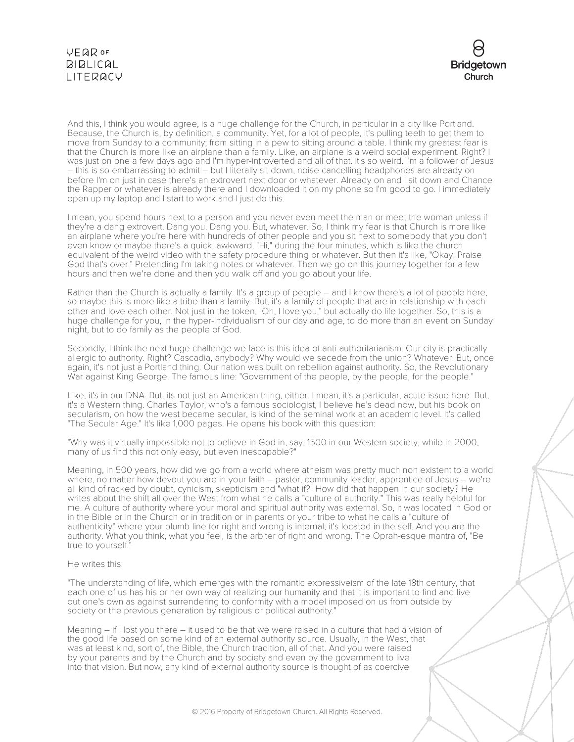

And this, I think you would agree, is a huge challenge for the Church, in particular in a city like Portland. Because, the Church is, by definition, a community. Yet, for a lot of people, it's pulling teeth to get them to move from Sunday to a community; from sitting in a pew to sitting around a table. I think my greatest fear is that the Church is more like an airplane than a family. Like, an airplane is a weird social experiment. Right? I was just on one a few days ago and I'm hyper-introverted and all of that. It's so weird. I'm a follower of Jesus – this is so embarrassing to admit – but I literally sit down, noise cancelling headphones are already on before I'm on just in case there's an extrovert next door or whatever. Already on and I sit down and Chance the Rapper or whatever is already there and I downloaded it on my phone so I'm good to go. I immediately open up my laptop and I start to work and I just do this.

I mean, you spend hours next to a person and you never even meet the man or meet the woman unless if they're a dang extrovert. Dang you. Dang you. But, whatever. So, I think my fear is that Church is more like an airplane where you're here with hundreds of other people and you sit next to somebody that you don't even know or maybe there's a quick, awkward, "Hi," during the four minutes, which is like the church equivalent of the weird video with the safety procedure thing or whatever. But then it's like, "Okay. Praise God that's over." Pretending I'm taking notes or whatever. Then we go on this journey together for a few hours and then we're done and then you walk off and you go about your life.

Rather than the Church is actually a family. It's a group of people – and I know there's a lot of people here, so maybe this is more like a tribe than a family. But, it's a family of people that are in relationship with each other and love each other. Not just in the token, "Oh, I love you," but actually do life together. So, this is a huge challenge for you, in the hyper-individualism of our day and age, to do more than an event on Sunday night, but to do family as the people of God.

Secondly, I think the next huge challenge we face is this idea of anti-authoritarianism. Our city is practically allergic to authority. Right? Cascadia, anybody? Why would we secede from the union? Whatever. But, once again, it's not just a Portland thing. Our nation was built on rebellion against authority. So, the Revolutionary War against King George. The famous line: "Government of the people, by the people, for the people."

Like, it's in our DNA. But, its not just an American thing, either. I mean, it's a particular, acute issue here. But, it's a Western thing. Charles Taylor, who's a famous sociologist, I believe he's dead now, but his book on secularism, on how the west became secular, is kind of the seminal work at an academic level. It's called "The Secular Age." It's like 1,000 pages. He opens his book with this question:

"Why was it virtually impossible not to believe in God in, say, 1500 in our Western society, while in 2000, many of us find this not only easy, but even inescapable?"

Meaning, in 500 years, how did we go from a world where atheism was pretty much non existent to a world where, no matter how devout you are in your faith – pastor, community leader, apprentice of Jesus – we're all kind of racked by doubt, cynicism, skepticism and "what if?" How did that happen in our society? He writes about the shift all over the West from what he calls a "culture of authority." This was really helpful for me. A culture of authority where your moral and spiritual authority was external. So, it was located in God or in the Bible or in the Church or in tradition or in parents or your tribe to what he calls a "culture of authenticity" where your plumb line for right and wrong is internal; it's located in the self. And you are the authority. What you think, what you feel, is the arbiter of right and wrong. The Oprah-esque mantra of, "Be true to yourself."

#### He writes this:

"The understanding of life, which emerges with the romantic expressiveism of the late 18th century, that each one of us has his or her own way of realizing our humanity and that it is important to find and live out one's own as against surrendering to conformity with a model imposed on us from outside by society or the previous generation by religious or political authority."

Meaning – if I lost you there – it used to be that we were raised in a culture that had a vision of the good life based on some kind of an external authority source. Usually, in the West, that was at least kind, sort of, the Bible, the Church tradition, all of that. And you were raised by your parents and by the Church and by society and even by the government to live into that vision. But now, any kind of external authority source is thought of as coercive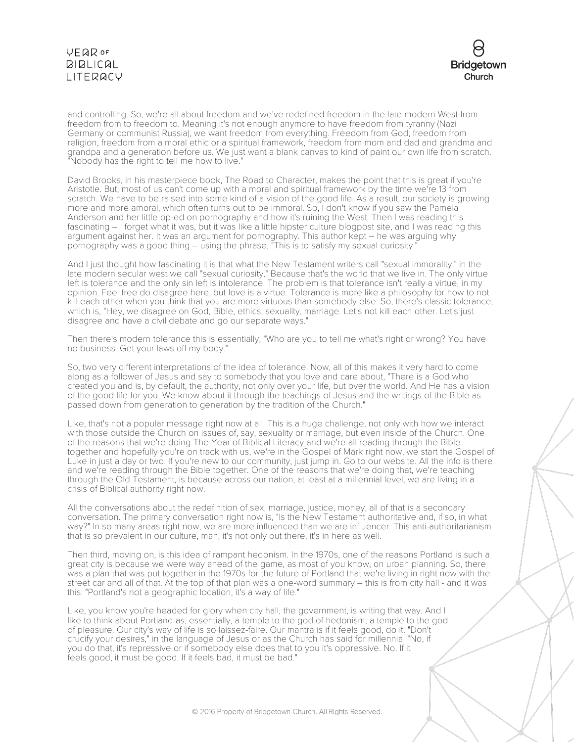

and controlling. So, we're all about freedom and we've redefined freedom in the late modern West from freedom from to freedom to. Meaning it's not enough anymore to have freedom from tyranny (Nazi Germany or communist Russia), we want freedom from everything. Freedom from God, freedom from religion, freedom from a moral ethic or a spiritual framework, freedom from mom and dad and grandma and grandpa and a generation before us. We just want a blank canvas to kind of paint our own life from scratch. "Nobody has the right to tell me how to live."

David Brooks, in his masterpiece book, The Road to Character, makes the point that this is great if you're Aristotle. But, most of us can't come up with a moral and spiritual framework by the time we're 13 from scratch. We have to be raised into some kind of a vision of the good life. As a result, our society is growing more and more amoral, which often turns out to be immoral. So, I don't know if you saw the Pamela Anderson and her little op-ed on pornography and how it's ruining the West. Then I was reading this fascinating – I forget what it was, but it was like a little hipster culture blogpost site, and I was reading this argument against her. It was an argument for pornography. This author kept – he was arguing why pornography was a good thing – using the phrase, "This is to satisfy my sexual curiosity."

And I just thought how fascinating it is that what the New Testament writers call "sexual immorality," in the late modern secular west we call "sexual curiosity." Because that's the world that we live in. The only virtue left is tolerance and the only sin left is intolerance. The problem is that tolerance isn't really a virtue, in my opinion. Feel free do disagree here, but love is a virtue. Tolerance is more like a philosophy for how to not kill each other when you think that you are more virtuous than somebody else. So, there's classic tolerance, which is, "Hey, we disagree on God, Bible, ethics, sexuality, marriage. Let's not kill each other. Let's just disagree and have a civil debate and go our separate ways."

Then there's modern tolerance this is essentially, "Who are you to tell me what's right or wrong? You have no business. Get your laws off my body."

So, two very different interpretations of the idea of tolerance. Now, all of this makes it very hard to come along as a follower of Jesus and say to somebody that you love and care about, "There is a God who created you and is, by default, the authority, not only over your life, but over the world. And He has a vision of the good life for you. We know about it through the teachings of Jesus and the writings of the Bible as passed down from generation to generation by the tradition of the Church."

Like, that's not a popular message right now at all. This is a huge challenge, not only with how we interact with those outside the Church on issues of, say, sexuality or marriage, but even inside of the Church. One of the reasons that we're doing The Year of Biblical Literacy and we're all reading through the Bible together and hopefully you're on track with us, we're in the Gospel of Mark right now, we start the Gospel of Luke in just a day or two. If you're new to our community, just jump in. Go to our website. All the info is there and we're reading through the Bible together. One of the reasons that we're doing that, we're teaching through the Old Testament, is because across our nation, at least at a millennial level, we are living in a crisis of Biblical authority right now.

All the conversations about the redefinition of sex, marriage, justice, money, all of that is a secondary conversation. The primary conversation right now is, "Is the New Testament authoritative and, if so, in what way?" In so many areas right now, we are more influenced than we are influencer. This anti-authoritarianism that is so prevalent in our culture, man, it's not only out there, it's in here as well.

Then third, moving on, is this idea of rampant hedonism. In the 1970s, one of the reasons Portland is such a great city is because we were way ahead of the game, as most of you know, on urban planning. So, there was a plan that was put together in the 1970s for the future of Portland that we're living in right now with the street car and all of that. At the top of that plan was a one-word summary – this is from city hall - and it was this: "Portland's not a geographic location; it's a way of life."

Like, you know you're headed for glory when city hall, the government, is writing that way. And I like to think about Portland as, essentially, a temple to the god of hedonism; a temple to the god of pleasure. Our city's way of life is so laissez-faire. Our mantra is if it feels good, do it. "Don't crucify your desires," in the language of Jesus or as the Church has said for millennia. "No, if you do that, it's repressive or if somebody else does that to you it's oppressive. No. If it feels good, it must be good. If it feels bad, it must be bad."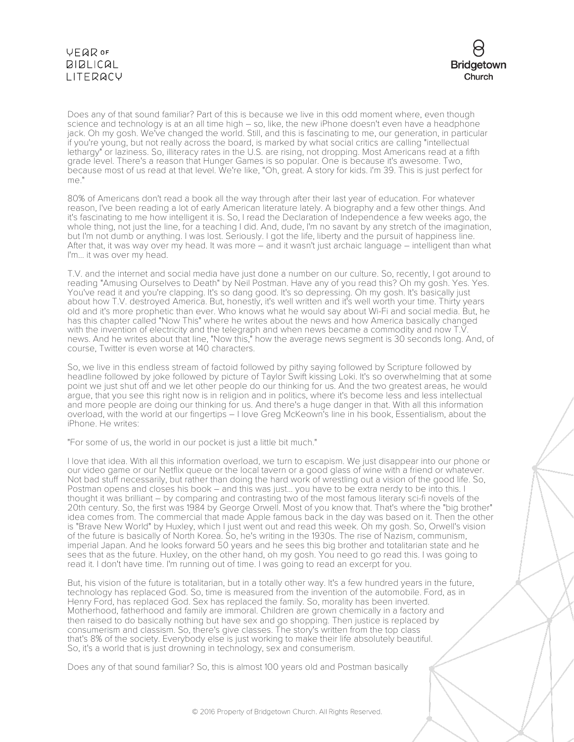

Does any of that sound familiar? Part of this is because we live in this odd moment where, even though science and technology is at an all time high – so, like, the new iPhone doesn't even have a headphone jack. Oh my gosh. We ve changed the world. Still, and this is fascinating to me, our generation, in particular if you're young, but not really across the board, is marked by what social critics are calling "intellectual lethargy" or laziness. So, illiteracy rates in the U.S. are rising, not dropping. Most Americans read at a fifth grade level. There's a reason that Hunger Games is so popular. One is because it's awesome. Two, because most of us read at that level. We're like, "Oh, great. A story for kids. I'm 39. This is just perfect for  $m \rho$ "

80% of Americans don't read a book all the way through after their last year of education. For whatever reason, I've been reading a lot of early American literature lately. A biography and a few other things. And it's fascinating to me how intelligent it is. So, I read the Declaration of Independence a few weeks ago, the whole thing, not just the line, for a teaching I did. And, dude, I'm no savant by any stretch of the imagination, but I'm not dumb or anything. I was lost. Seriously. I got the life, liberty and the pursuit of happiness line. After that, it was way over my head. It was more – and it wasn't just archaic language – intelligent than what I'm... it was over my head.

T.V. and the internet and social media have just done a number on our culture. So, recently, I got around to reading "Amusing Ourselves to Death" by Neil Postman. Have any of you read this? Oh my gosh. Yes. Yes. You've read it and you're clapping. It's so dang good. It's so depressing. Oh my gosh. It's basically just about how T.V. destroyed America. But, honestly, it's well written and it's well worth your time. Thirty years old and it's more prophetic than ever. Who knows what he would say about Wi-Fi and social media. But, he has this chapter called "Now This" where he writes about the news and how America basically changed with the invention of electricity and the telegraph and when news became a commodity and now T.V. news. And he writes about that line, "Now this," how the average news segment is 30 seconds long. And, of course, Twitter is even worse at 140 characters.

So, we live in this endless stream of factoid followed by pithy saying followed by Scripture followed by headline followed by joke followed by picture of Taylor Swift kissing Loki. It's so overwhelming that at some point we just shut off and we let other people do our thinking for us. And the two greatest areas, he would argue, that you see this right now is in religion and in politics, where it's become less and less intellectual and more people are doing our thinking for us. And there's a huge danger in that. With all this information overload, with the world at our fingertips – I love Greg McKeown's line in his book, Essentialism, about the iPhone. He writes:

"For some of us, the world in our pocket is just a little bit much."

I love that idea. With all this information overload, we turn to escapism. We just disappear into our phone or our video game or our Netflix queue or the local tavern or a good glass of wine with a friend or whatever. Not bad stuff necessarily, but rather than doing the hard work of wrestling out a vision of the good life. So, Postman opens and closes his book – and this was just... you have to be extra nerdy to be into this. I thought it was brilliant – by comparing and contrasting two of the most famous literary sci-fi novels of the 20th century. So, the first was 1984 by George Orwell. Most of you know that. That's where the "big brother" idea comes from. The commercial that made Apple famous back in the day was based on it. Then the other is "Brave New World" by Huxley, which I just went out and read this week. Oh my gosh. So, Orwell's vision of the future is basically of North Korea. So, he's writing in the 1930s. The rise of Nazism, communism, imperial Japan. And he looks forward 50 years and he sees this big brother and totalitarian state and he sees that as the future. Huxley, on the other hand, oh my gosh. You need to go read this. I was going to read it. I don't have time. I'm running out of time. I was going to read an excerpt for you.

But, his vision of the future is totalitarian, but in a totally other way. It's a few hundred years in the future, technology has replaced God. So, time is measured from the invention of the automobile. Ford, as in Henry Ford, has replaced God. Sex has replaced the family. So, morality has been inverted. Motherhood, fatherhood and family are immoral. Children are grown chemically in a factory and then raised to do basically nothing but have sex and go shopping. Then justice is replaced by consumerism and classism. So, there's give classes. The story's written from the top class that's 8% of the society. Everybody else is just working to make their life absolutely beautiful. So, it's a world that is just drowning in technology, sex and consumerism.

Does any of that sound familiar? So, this is almost 100 years old and Postman basically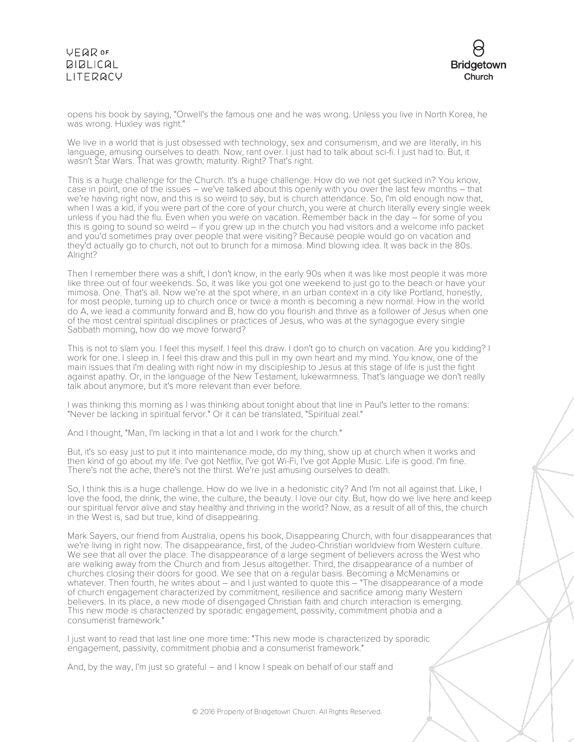

opens his book by saying, "Orwell's the famous one and he was wrong. Unless you live in North Korea, he was wrong. Huxley was right."

We live in a world that is just obsessed with technology, sex and consumerism, and we are literally, in his language, amusing ourselves to death. Now, rant over. I just had to talk about sci-fi. I just had to. But, it wasn't Star Wars. That was growth; maturity. Right? That's right.

This is a huge challenge for the Church. It's a huge challenge. How do we not get sucked in? You know, case in point, one of the issues – we've talked about this openly with you over the last few months – that we're having right now, and this is so weird to say, but is church attendance. So, I'm old enough now that, when I was a kid, if you were part of the core of your church, you were at church literally every single week unless if you had the flu. Even when you were on vacation. Remember back in the day – for some of you this is going to sound so weird – if you grew up in the church you had visitors and a welcome info packet and you'd sometimes pray over people that were visiting? Because people would go on vacation and they'd actually go to church, not out to brunch for a mimosa. Mind blowing idea. It was back in the 80s. Alright?

Then I remember there was a shift, I don't know, in the early 90s when it was like most people it was more like three out of four weekends. So, it was like you got one weekend to just go to the beach or have your mimosa. One. That's all. Now we're at the spot where, in an urban context in a city like Portland, honestly, for most people, turning up to church once or twice a month is becoming a new normal. How in the world do A, we lead a community forward and B, how do you flourish and thrive as a follower of Jesus when one of the most central spiritual disciplines or practices of Jesus, who was at the synagogue every single Sabbath morning, how do we move forward?

This is not to slam you. I feel this myself. I feel this draw. I don't go to church on vacation. Are you kidding? I work for one. I sleep in. I feel this draw and this pull in my own heart and my mind. You know, one of the main issues that I'm dealing with right now in my discipleship to Jesus at this stage of life is just the fight against apathy. Or, in the language of the New Testament, lukewarmness. That's language we don't really talk about anymore, but it's more relevant than ever before.

I was thinking this morning as I was thinking about tonight about that line in Paul's letter to the romans: "Never be lacking in spiritual fervor." Or it can be translated, "Spiritual zeal."

And I thought, "Man, I'm lacking in that a lot and I work for the church."

But, it's so easy just to put it into maintenance mode, do my thing, show up at church when it works and then kind of go about my life. I've got Netflix, I've got Wi-Fi, I've got Apple Music. Life is good. I'm fine. There's not the ache, there's not the thirst. We're just amusing ourselves to death.

So, I think this is a huge challenge. How do we live in a hedonistic city? And I'm not all against that. Like, I love the food, the drink, the wine, the culture, the beauty. I love our city. But, how do we live here and keep our spiritual fervor alive and stay healthy and thriving in the world? Now, as a result of all of this, the church in the West is, sad but true, kind of disappearing.

Mark Sayers, our friend from Australia, opens his book, Disappearing Church, with four disappearances that we're living in right now. The disappearance, first, of the Judeo-Christian worldview from Western culture. We see that all over the place. The disappearance of a large segment of believers across the West who are walking away from the Church and from Jesus altogether. Third, the disappearance of a number of churches closing their doors for good. We see that on a regular basis. Becoming a McMenamins or whatever. Then fourth, he writes about – and I just wanted to quote this – "The disappearance of a mode of church engagement characterized by commitment, resilience and sacrifice among many Western believers. In its place, a new mode of disengaged Christian faith and church interaction is emerging. This new mode is characterized by sporadic engagement, passivity, commitment phobia and a consumerist framework."

I just want to read that last line one more time: "This new mode is characterized by sporadic engagement, passivity, commitment phobia and a consumerist framework."

And, by the way, I'm just so grateful – and I know I speak on behalf of our staff and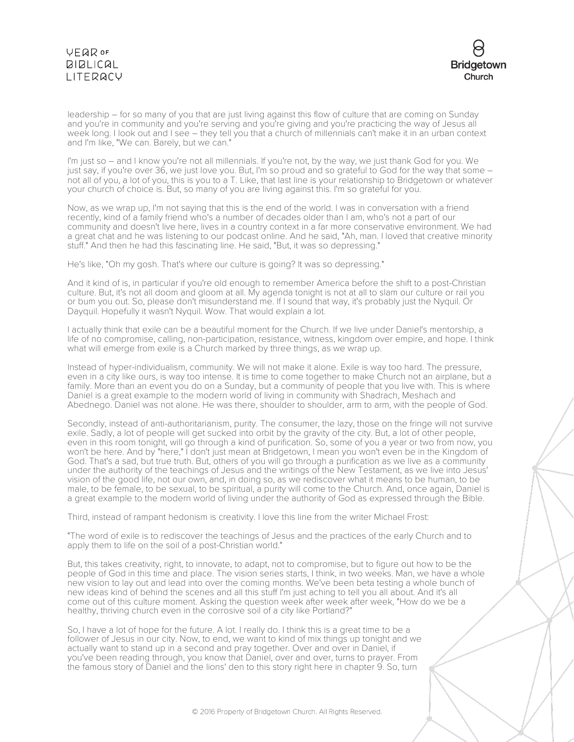

leadership – for so many of you that are just living against this flow of culture that are coming on Sunday and you're in community and you're serving and you're giving and you're practicing the way of Jesus all week long. I look out and I see – they tell you that a church of millennials can't make it in an urban context and I'm like, "We can. Barely, but we can."

I'm just so – and I know you're not all millennials. If you're not, by the way, we just thank God for you. We just say, if you're over 36, we just love you. But, I'm so proud and so grateful to God for the way that some – not all of you, a lot of you, this is you to a T. Like, that last line is your relationship to Bridgetown or whatever your church of choice is. But, so many of you are living against this. I'm so grateful for you.

Now, as we wrap up, I'm not saying that this is the end of the world. I was in conversation with a friend recently, kind of a family friend who's a number of decades older than I am, who's not a part of our community and doesn't live here, lives in a country context in a far more conservative environment. We had a great chat and he was listening to our podcast online. And he said, "Ah, man. I loved that creative minority stuff." And then he had this fascinating line. He said, "But, it was so depressing."

He's like, "Oh my gosh. That's where our culture is going? It was so depressing."

And it kind of is, in particular if you're old enough to remember America before the shift to a post-Christian culture. But, it's not all doom and gloom at all. My agenda tonight is not at all to slam our culture or rail you or bum you out. So, please don't misunderstand me. If I sound that way, it's probably just the Nyquil. Or Dayquil. Hopefully it wasn't Nyquil. Wow. That would explain a lot.

I actually think that exile can be a beautiful moment for the Church. If we live under Daniel's mentorship, a life of no compromise, calling, non-participation, resistance, witness, kingdom over empire, and hope. I think what will emerge from exile is a Church marked by three things, as we wrap up.

Instead of hyper-individualism, community. We will not make it alone. Exile is way too hard. The pressure, even in a city like ours, is way too intense. It is time to come together to make Church not an airplane, but a family. More than an event you do on a Sunday, but a community of people that you live with. This is where Daniel is a great example to the modern world of living in community with Shadrach, Meshach and Abednego. Daniel was not alone. He was there, shoulder to shoulder, arm to arm, with the people of God.

Secondly, instead of anti-authoritarianism, purity. The consumer, the lazy, those on the fringe will not survive exile. Sadly, a lot of people will get sucked into orbit by the gravity of the city. But, a lot of other people, even in this room tonight, will go through a kind of purification. So, some of you a year or two from now, you won't be here. And by "here," I don't just mean at Bridgetown, I mean you won't even be in the Kingdom of God. That's a sad, but true truth. But, others of you will go through a purification as we live as a community under the authority of the teachings of Jesus and the writings of the New Testament, as we live into Jesus' vision of the good life, not our own, and, in doing so, as we rediscover what it means to be human, to be male, to be female, to be sexual, to be spiritual, a purity will come to the Church. And, once again, Daniel is a great example to the modern world of living under the authority of God as expressed through the Bible.

Third, instead of rampant hedonism is creativity. I love this line from the writer Michael Frost:

"The word of exile is to rediscover the teachings of Jesus and the practices of the early Church and to apply them to life on the soil of a post-Christian world."

But, this takes creativity, right, to innovate, to adapt, not to compromise, but to figure out how to be the people of God in this time and place. The vision series starts, I think, in two weeks. Man, we have a whole new vision to lay out and lead into over the coming months. We've been beta testing a whole bunch of new ideas kind of behind the scenes and all this stuff I'm just aching to tell you all about. And it's all come out of this culture moment. Asking the question week after week after week, "How do we be a healthy, thriving church even in the corrosive soil of a city like Portland?"

So, I have a lot of hope for the future. A lot. I really do. I think this is a great time to be a follower of Jesus in our city. Now, to end, we want to kind of mix things up tonight and we actually want to stand up in a second and pray together. Over and over in Daniel, if you've been reading through, you know that Daniel, over and over, turns to prayer. From the famous story of Daniel and the lions' den to this story right here in chapter 9. So, turn